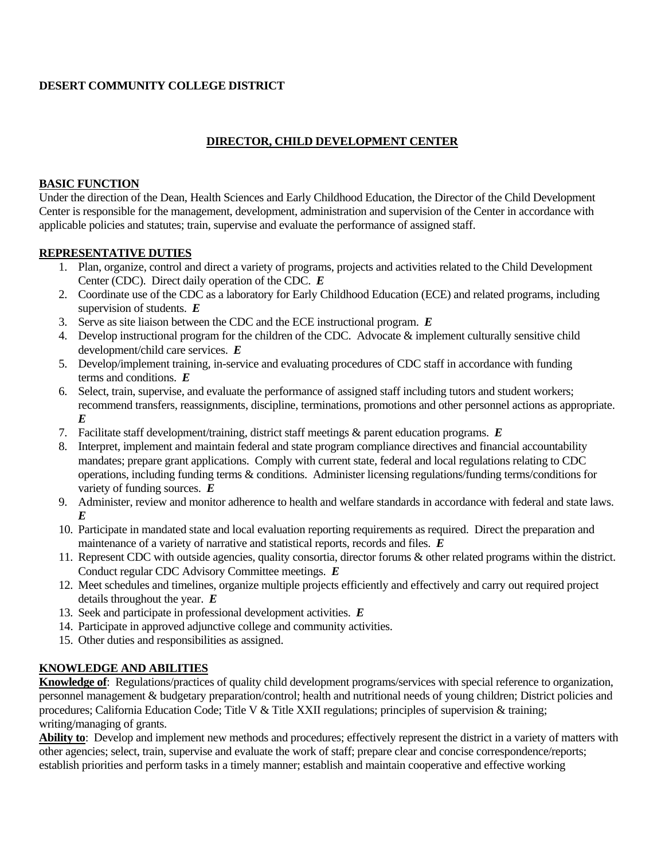# **DESERT COMMUNITY COLLEGE DISTRICT**

## **DIRECTOR, CHILD DEVELOPMENT CENTER**

#### **BASIC FUNCTION**

Under the direction of the Dean, Health Sciences and Early Childhood Education, the Director of the Child Development Center is responsible for the management, development, administration and supervision of the Center in accordance with applicable policies and statutes; train, supervise and evaluate the performance of assigned staff.

#### **REPRESENTATIVE DUTIES**

- 1. Plan, organize, control and direct a variety of programs, projects and activities related to the Child Development Center (CDC). Direct daily operation of the CDC. *E*
- 2. Coordinate use of the CDC as a laboratory for Early Childhood Education (ECE) and related programs, including supervision of students. *E*
- 3. Serve as site liaison between the CDC and the ECE instructional program. *E*
- 4. Develop instructional program for the children of the CDC. Advocate & implement culturally sensitive child development/child care services. *E*
- 5. Develop/implement training, in-service and evaluating procedures of CDC staff in accordance with funding terms and conditions. *E*
- 6. Select, train, supervise, and evaluate the performance of assigned staff including tutors and student workers; recommend transfers, reassignments, discipline, terminations, promotions and other personnel actions as appropriate. *E*
- 7. Facilitate staff development/training, district staff meetings & parent education programs. *E*
- 8. Interpret, implement and maintain federal and state program compliance directives and financial accountability mandates; prepare grant applications. Comply with current state, federal and local regulations relating to CDC operations, including funding terms & conditions. Administer licensing regulations/funding terms/conditions for variety of funding sources. *E*
- 9. Administer, review and monitor adherence to health and welfare standards in accordance with federal and state laws. *E*
- 10. Participate in mandated state and local evaluation reporting requirements as required. Direct the preparation and maintenance of a variety of narrative and statistical reports, records and files. *E*
- 11. Represent CDC with outside agencies, quality consortia, director forums & other related programs within the district. Conduct regular CDC Advisory Committee meetings. *E*
- 12. Meet schedules and timelines, organize multiple projects efficiently and effectively and carry out required project details throughout the year. *E*
- 13. Seek and participate in professional development activities. *E*
- 14. Participate in approved adjunctive college and community activities.
- 15. Other duties and responsibilities as assigned.

#### **KNOWLEDGE AND ABILITIES**

**Knowledge of**: Regulations/practices of quality child development programs/services with special reference to organization, personnel management & budgetary preparation/control; health and nutritional needs of young children; District policies and procedures; California Education Code; Title V & Title XXII regulations; principles of supervision & training; writing/managing of grants.

**Ability to**: Develop and implement new methods and procedures; effectively represent the district in a variety of matters with other agencies; select, train, supervise and evaluate the work of staff; prepare clear and concise correspondence/reports; establish priorities and perform tasks in a timely manner; establish and maintain cooperative and effective working